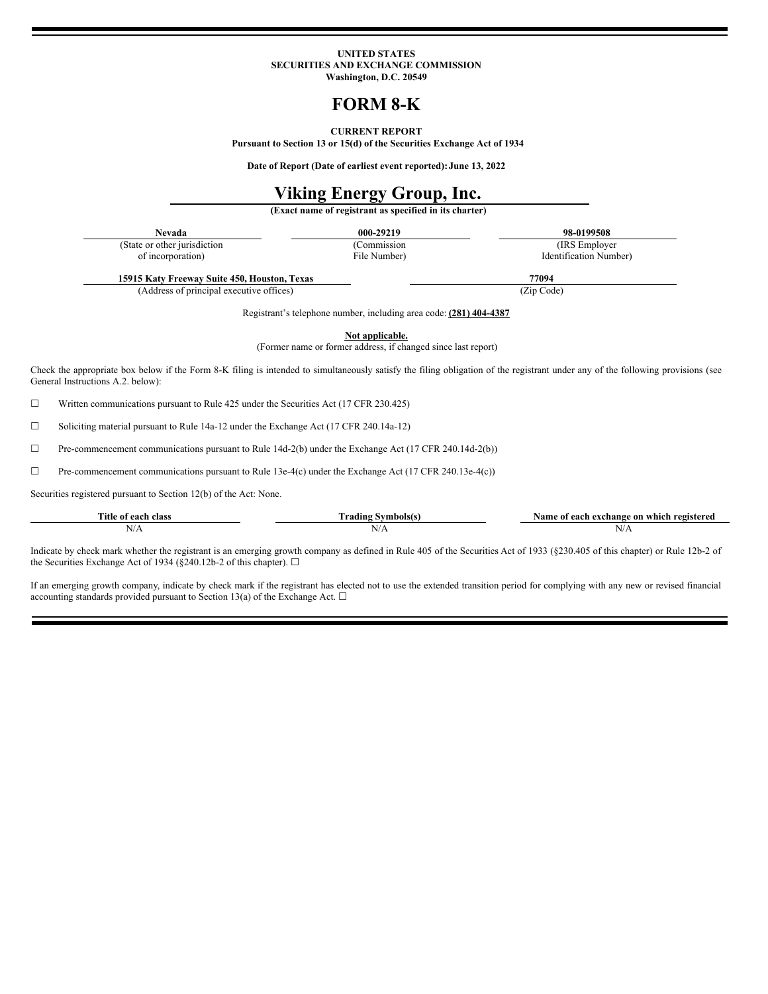# **UNITED STATES SECURITIES AND EXCHANGE COMMISSION Washington, D.C. 20549**

# **FORM 8-K**

# **CURRENT REPORT**

**Pursuant to Section 13 or 15(d) of the Securities Exchange Act of 1934**

**Date of Report (Date of earliest event reported):June 13, 2022**

# **Viking Energy Group, Inc.**

**(Exact name of registrant as specified in its charter)**

| <b>Nevada</b>                |
|------------------------------|
| (State or other jurisdiction |
| of incorporation)            |

**Nevada 000-29219 98-0199508**

(Commission File Number)

(IRS Employer Identification Number)

**15915 Katy Freeway Suite 450, Houston, Texas 77094** (Address of principal executive offices) (Zip Code)

Registrant's telephone number, including area code: **(281) 404-4387**

**Not applicable.**

(Former name or former address, if changed since last report)

Check the appropriate box below if the Form 8-K filing is intended to simultaneously satisfy the filing obligation of the registrant under any of the following provisions (see General Instructions A.2. below):

☐ Written communications pursuant to Rule 425 under the Securities Act (17 CFR 230.425)

☐ Soliciting material pursuant to Rule 14a-12 under the Exchange Act (17 CFR 240.14a-12)

☐ Pre-commencement communications pursuant to Rule 14d-2(b) under the Exchange Act (17 CFR 240.14d-2(b))

☐ Pre-commencement communications pursuant to Rule 13e-4(c) under the Exchange Act (17 CFR 240.13e-4(c))

Securities registered pursuant to Section 12(b) of the Act: None.

| Title.<br>e of each class | Frading<br>Symbols | Name of<br>which registered<br>exchange on<br>each         |
|---------------------------|--------------------|------------------------------------------------------------|
| N/A                       | <b>NT</b><br>N/L   | $\mathbf{N}/\mathbf{L}$<br>the contract of the contract of |

Indicate by check mark whether the registrant is an emerging growth company as defined in Rule 405 of the Securities Act of 1933 (§230.405 of this chapter) or Rule 12b-2 of the Securities Exchange Act of 1934 (§240.12b-2 of this chapter).  $\Box$ 

If an emerging growth company, indicate by check mark if the registrant has elected not to use the extended transition period for complying with any new or revised financial accounting standards provided pursuant to Section 13(a) of the Exchange Act.  $\Box$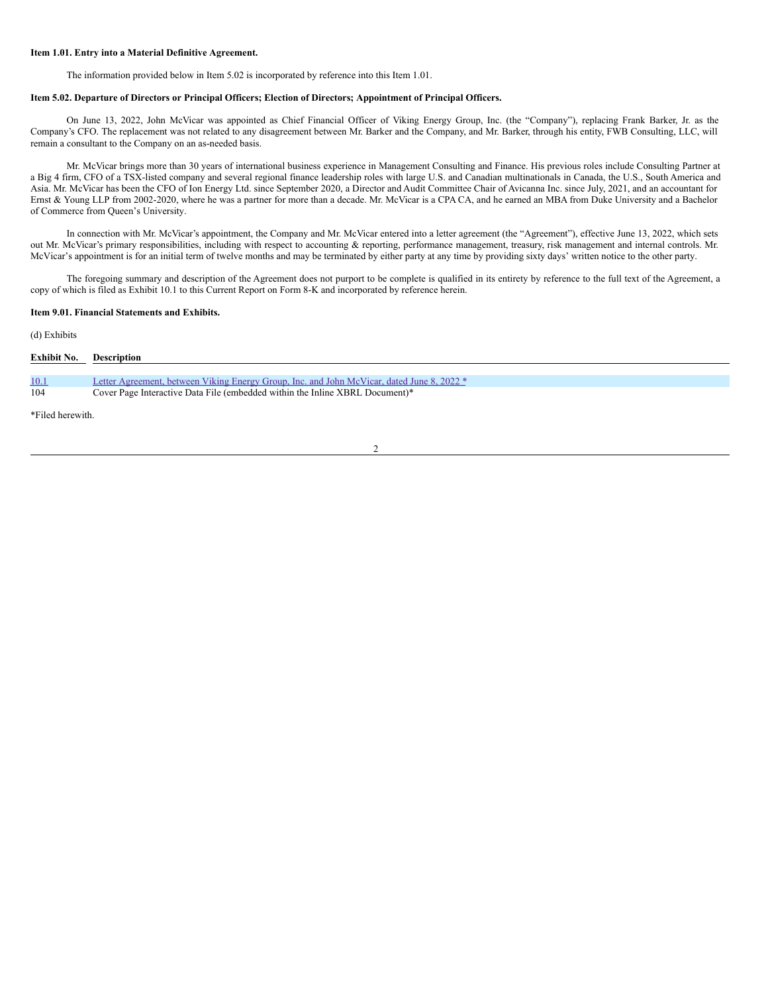# **Item 1.01. Entry into a Material Definitive Agreement.**

The information provided below in Item 5.02 is incorporated by reference into this Item 1.01.

## **Item 5.02. Departure of Directors or Principal Officers; Election of Directors; Appointment of Principal Officers.**

On June 13, 2022, John McVicar was appointed as Chief Financial Officer of Viking Energy Group, Inc. (the "Company"), replacing Frank Barker, Jr. as the Company's CFO. The replacement was not related to any disagreement between Mr. Barker and the Company, and Mr. Barker, through his entity, FWB Consulting, LLC, will remain a consultant to the Company on an as-needed basis.

Mr. McVicar brings more than 30 years of international business experience in Management Consulting and Finance. His previous roles include Consulting Partner at a Big 4 firm, CFO of a TSX-listed company and several regional finance leadership roles with large U.S. and Canadian multinationals in Canada, the U.S., South America and Asia. Mr. McVicar has been the CFO of Ion Energy Ltd. since September 2020, a Director and Audit Committee Chair of Avicanna Inc. since July, 2021, and an accountant for Ernst & Young LLP from 2002-2020, where he was a partner for more than a decade. Mr. McVicar is a CPA CA, and he earned an MBA from Duke University and a Bachelor of Commerce from Queen's University.

In connection with Mr. McVicar's appointment, the Company and Mr. McVicar entered into a letter agreement (the "Agreement"), effective June 13, 2022, which sets out Mr. McVicar's primary responsibilities, including with respect to accounting & reporting, performance management, treasury, risk management and internal controls. Mr. McVicar's appointment is for an initial term of twelve months and may be terminated by either party at any time by providing sixty days' written notice to the other party.

The foregoing summary and description of the Agreement does not purport to be complete is qualified in its entirety by reference to the full text of the Agreement, a copy of which is filed as Exhibit 10.1 to this Current Report on Form 8-K and incorporated by reference herein.

# **Item 9.01. Financial Statements and Exhibits.**

# (d) Exhibits

| Exhibit No. | <b>Description</b>                                                                         |
|-------------|--------------------------------------------------------------------------------------------|
|             |                                                                                            |
| 10.1        | Letter Agreement, between Viking Energy Group, Inc. and John McVicar, dated June 8, 2022 * |
| 104         | Cover Page Interactive Data File (embedded within the Inline XBRL Document)*               |

\*Filed herewith.

 $\overline{2}$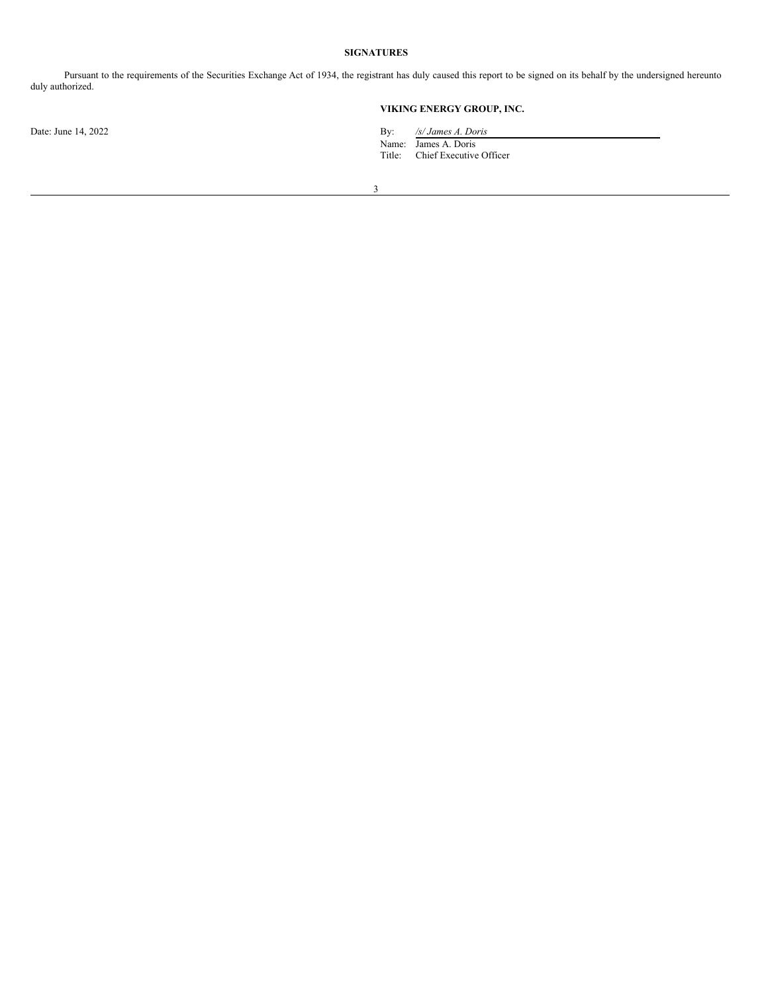# **SIGNATURES**

Pursuant to the requirements of the Securities Exchange Act of 1934, the registrant has duly caused this report to be signed on its behalf by the undersigned hereunto duly authorized.

# **VIKING ENERGY GROUP, INC.**

Date: June 14, 2022 By: */s/ James A. Doris*

Name: James A. Doris Title: Chief Executive Officer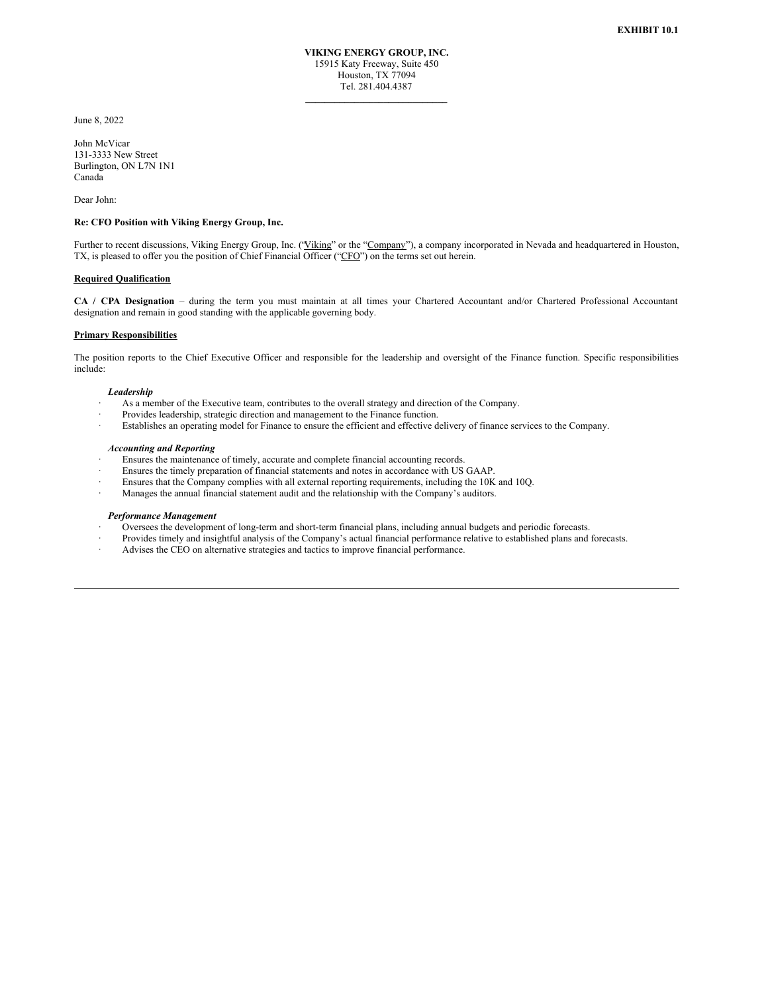**\_\_\_\_\_\_\_\_\_\_\_\_\_\_\_\_\_\_\_\_\_\_\_\_\_\_\_\_\_**

<span id="page-3-0"></span>June 8, 2022

John McVicar 131-3333 New Street Burlington, ON L7N 1N1 Canada

Dear John:

## **Re: CFO Position with Viking Energy Group, Inc.**

Further to recent discussions, Viking Energy Group, Inc. ('Viking" or the "Company"), a company incorporated in Nevada and headquartered in Houston, TX, is pleased to offer you the position of Chief Financial Officer ("CFO") on the terms set out herein.

#### **Required Qualification**

**CA / CPA Designation** – during the term you must maintain at all times your Chartered Accountant and/or Chartered Professional Accountant designation and remain in good standing with the applicable governing body.

#### **Primary Responsibilities**

The position reports to the Chief Executive Officer and responsible for the leadership and oversight of the Finance function. Specific responsibilities include:

#### *Leadership*

- As a member of the Executive team, contributes to the overall strategy and direction of the Company.
- Provides leadership, strategic direction and management to the Finance function.
- Establishes an operating model for Finance to ensure the efficient and effective delivery of finance services to the Company.

# *Accounting and Reporting*

- Ensures the maintenance of timely, accurate and complete financial accounting records.
- Ensures the timely preparation of financial statements and notes in accordance with US GAAP.
- Ensures that the Company complies with all external reporting requirements, including the 10K and 10Q.
- · Manages the annual financial statement audit and the relationship with the Company's auditors.

## *Performance Management*

- · Oversees the development of long-term and short-term financial plans, including annual budgets and periodic forecasts.
- · Provides timely and insightful analysis of the Company's actual financial performance relative to established plans and forecasts.
- Advises the CEO on alternative strategies and tactics to improve financial performance.